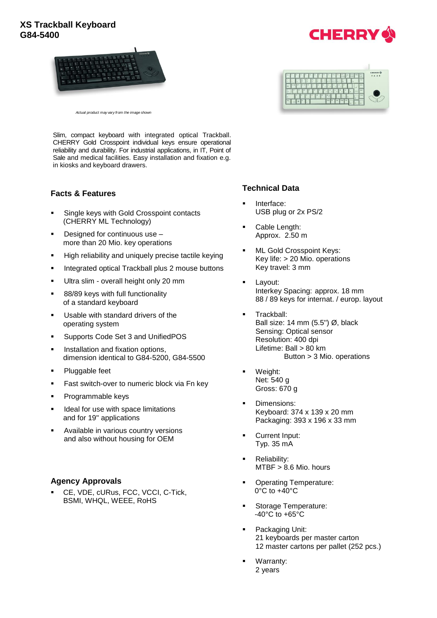# **XS Trackball Keyboard G84-5400**





*Actual product may vary from the image shown*

Slim, compact keyboard with integrated optical Trackball. CHERRY Gold Crosspoint individual keys ensure operational reliability and durability. For industrial applications, in IT, Point of Sale and medical facilities. Easy installation and fixation e.g. in kiosks and keyboard drawers.

## **Facts & Features**

- Single keys with Gold Crosspoint contacts (CHERRY ML Technology)
- Designed for continuous use more than 20 Mio. key operations
- High reliability and uniquely precise tactile keying
- Integrated optical Trackball plus 2 mouse buttons
- Ultra slim overall height only 20 mm
- 88/89 keys with full functionality of a standard keyboard
- Usable with standard drivers of the operating system
- Supports Code Set 3 and UnifiedPOS
- Installation and fixation options, dimension identical to G84-5200, G84-5500
- Pluggable feet
- Fast switch-over to numeric block via Fn key
- Programmable keys
- Ideal for use with space limitations and for 19'' applications
- Available in various country versions and also without housing for OEM

#### **Agency Approvals**

 CE, VDE, cURus, FCC, VCCI, C-Tick, BSMI, WHQL, WEEE, RoHS

## **Technical Data**

- Interface: USB plug or 2x PS/2
- Cable Length: Approx. 2.50 m
- ML Gold Crosspoint Keys: Key life: > 20 Mio. operations Key travel: 3 mm
- Layout: Interkey Spacing: approx. 18 mm 88 / 89 keys for internat. / europ. layout
- Trackball: Ball size: 14 mm (5.5'') Ø, black Sensing: Optical sensor Resolution: 400 dpi Lifetime: Ball > 80 km Button > 3 Mio. operations
- Weight: Net: 540 g Gross: 670 g
- **Dimensions:** Keyboard: 374 x 139 x 20 mm Packaging: 393 x 196 x 33 mm
- Current Input: Typ. 35 mA
- **Reliability:** MTBF > 8.6 Mio. hours
- Operating Temperature: 0°C to +40°C
- Storage Temperature: -40°C to +65°C
- Packaging Unit: 21 keyboards per master carton 12 master cartons per pallet (252 pcs.)
- Warranty: 2 years